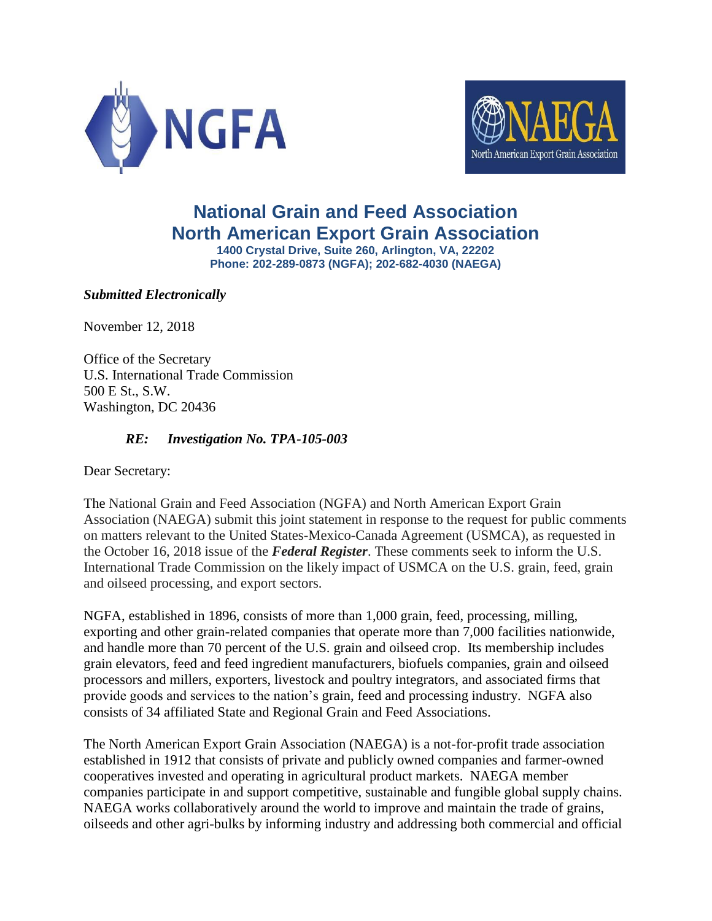



# **National Grain and Feed Association North American Export Grain Association**

**1400 Crystal Drive, Suite 260, Arlington, VA, 22202 Phone: 202-289-0873 (NGFA); 202-682-4030 (NAEGA)**

*Submitted Electronically*

November 12, 2018

Office of the Secretary U.S. International Trade Commission 500 E St., S.W. Washington, DC 20436

## *RE: Investigation No. TPA-105-003*

Dear Secretary:

The National Grain and Feed Association (NGFA) and North American Export Grain Association (NAEGA) submit this joint statement in response to the request for public comments on matters relevant to the United States-Mexico-Canada Agreement (USMCA), as requested in the October 16, 2018 issue of the *Federal Register*. These comments seek to inform the U.S. International Trade Commission on the likely impact of USMCA on the U.S. grain, feed, grain and oilseed processing, and export sectors.

NGFA, established in 1896, consists of more than 1,000 grain, feed, processing, milling, exporting and other grain-related companies that operate more than 7,000 facilities nationwide, and handle more than 70 percent of the U.S. grain and oilseed crop. Its membership includes grain elevators, feed and feed ingredient manufacturers, biofuels companies, grain and oilseed processors and millers, exporters, livestock and poultry integrators, and associated firms that provide goods and services to the nation's grain, feed and processing industry. NGFA also consists of 34 affiliated State and Regional Grain and Feed Associations.

The North American Export Grain Association (NAEGA) is a not-for-profit trade association established in 1912 that consists of private and publicly owned companies and farmer-owned cooperatives invested and operating in agricultural product markets. NAEGA member companies participate in and support competitive, sustainable and fungible global supply chains. NAEGA works collaboratively around the world to improve and maintain the trade of grains, oilseeds and other agri-bulks by informing industry and addressing both commercial and official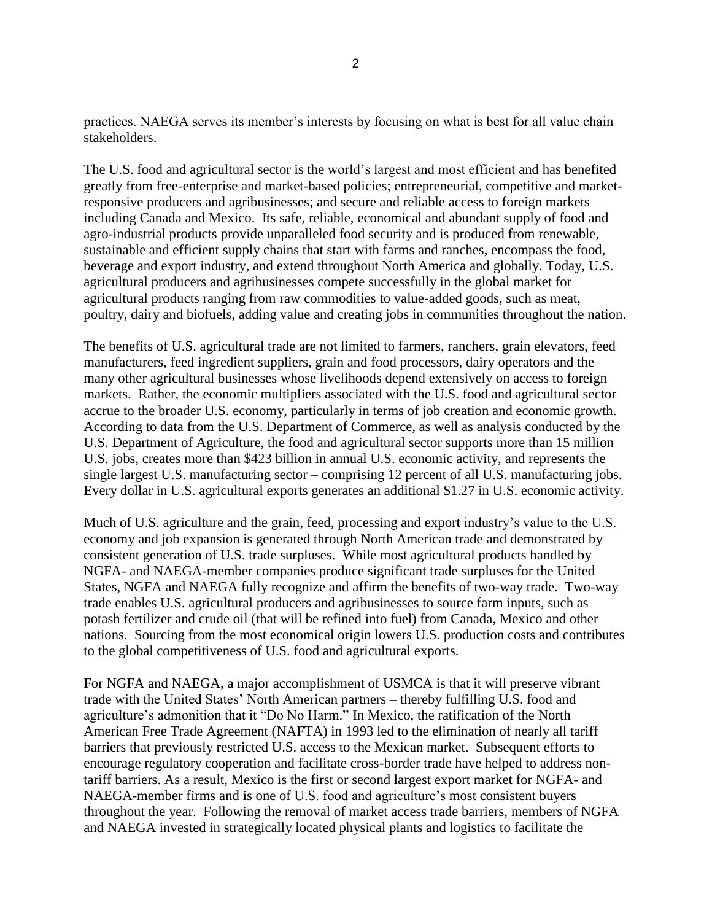practices. NAEGA serves its member's interests by focusing on what is best for all value chain stakeholders.

The U.S. food and agricultural sector is the world's largest and most efficient and has benefited greatly from free-enterprise and market-based policies; entrepreneurial, competitive and marketresponsive producers and agribusinesses; and secure and reliable access to foreign markets – including Canada and Mexico. Its safe, reliable, economical and abundant supply of food and agro-industrial products provide unparalleled food security and is produced from renewable, sustainable and efficient supply chains that start with farms and ranches, encompass the food, beverage and export industry, and extend throughout North America and globally. Today, U.S. agricultural producers and agribusinesses compete successfully in the global market for agricultural products ranging from raw commodities to value-added goods, such as meat, poultry, dairy and biofuels, adding value and creating jobs in communities throughout the nation.

The benefits of U.S. agricultural trade are not limited to farmers, ranchers, grain elevators, feed manufacturers, feed ingredient suppliers, grain and food processors, dairy operators and the many other agricultural businesses whose livelihoods depend extensively on access to foreign markets. Rather, the economic multipliers associated with the U.S. food and agricultural sector accrue to the broader U.S. economy, particularly in terms of job creation and economic growth. According to data from the U.S. Department of Commerce, as well as analysis conducted by the U.S. Department of Agriculture, the food and agricultural sector supports more than 15 million U.S. jobs, creates more than \$423 billion in annual U.S. economic activity, and represents the single largest U.S. manufacturing sector – comprising 12 percent of all U.S. manufacturing jobs. Every dollar in U.S. agricultural exports generates an additional \$1.27 in U.S. economic activity.

Much of U.S. agriculture and the grain, feed, processing and export industry's value to the U.S. economy and job expansion is generated through North American trade and demonstrated by consistent generation of U.S. trade surpluses. While most agricultural products handled by NGFA- and NAEGA-member companies produce significant trade surpluses for the United States, NGFA and NAEGA fully recognize and affirm the benefits of two-way trade. Two-way trade enables U.S. agricultural producers and agribusinesses to source farm inputs, such as potash fertilizer and crude oil (that will be refined into fuel) from Canada, Mexico and other nations. Sourcing from the most economical origin lowers U.S. production costs and contributes to the global competitiveness of U.S. food and agricultural exports.

For NGFA and NAEGA, a major accomplishment of USMCA is that it will preserve vibrant trade with the United States' North American partners – thereby fulfilling U.S. food and agriculture's admonition that it "Do No Harm." In Mexico, the ratification of the North American Free Trade Agreement (NAFTA) in 1993 led to the elimination of nearly all tariff barriers that previously restricted U.S. access to the Mexican market. Subsequent efforts to encourage regulatory cooperation and facilitate cross-border trade have helped to address nontariff barriers. As a result, Mexico is the first or second largest export market for NGFA- and NAEGA-member firms and is one of U.S. food and agriculture's most consistent buyers throughout the year. Following the removal of market access trade barriers, members of NGFA and NAEGA invested in strategically located physical plants and logistics to facilitate the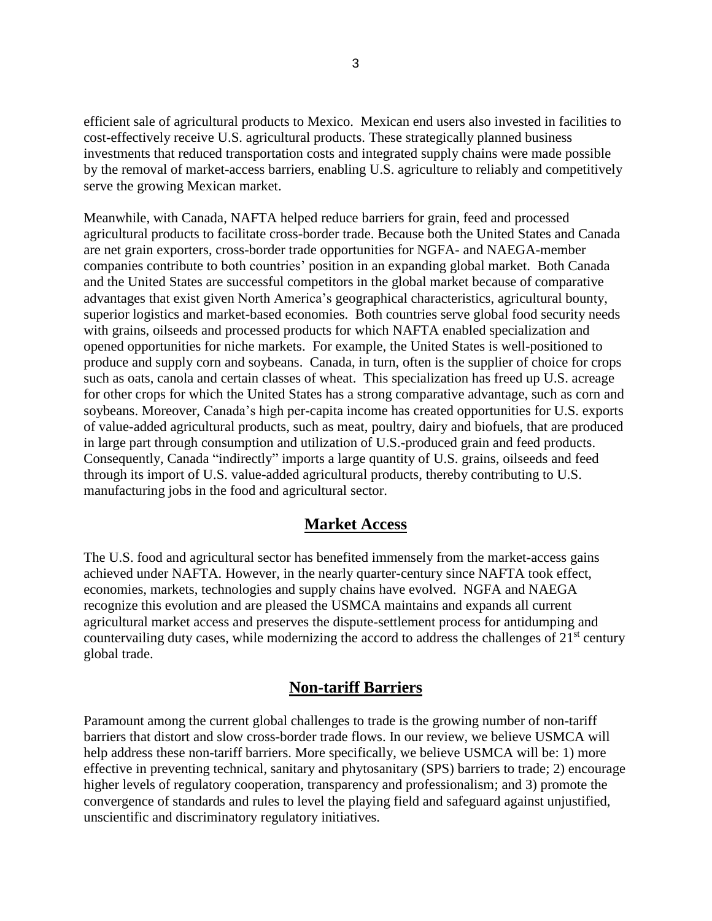efficient sale of agricultural products to Mexico. Mexican end users also invested in facilities to cost-effectively receive U.S. agricultural products. These strategically planned business investments that reduced transportation costs and integrated supply chains were made possible by the removal of market-access barriers, enabling U.S. agriculture to reliably and competitively serve the growing Mexican market.

Meanwhile, with Canada, NAFTA helped reduce barriers for grain, feed and processed agricultural products to facilitate cross-border trade. Because both the United States and Canada are net grain exporters, cross-border trade opportunities for NGFA- and NAEGA-member companies contribute to both countries' position in an expanding global market. Both Canada and the United States are successful competitors in the global market because of comparative advantages that exist given North America's geographical characteristics, agricultural bounty, superior logistics and market-based economies. Both countries serve global food security needs with grains, oilseeds and processed products for which NAFTA enabled specialization and opened opportunities for niche markets. For example, the United States is well-positioned to produce and supply corn and soybeans. Canada, in turn, often is the supplier of choice for crops such as oats, canola and certain classes of wheat. This specialization has freed up U.S. acreage for other crops for which the United States has a strong comparative advantage, such as corn and soybeans. Moreover, Canada's high per-capita income has created opportunities for U.S. exports of value-added agricultural products, such as meat, poultry, dairy and biofuels, that are produced in large part through consumption and utilization of U.S.-produced grain and feed products. Consequently, Canada "indirectly" imports a large quantity of U.S. grains, oilseeds and feed through its import of U.S. value-added agricultural products, thereby contributing to U.S. manufacturing jobs in the food and agricultural sector.

## **Market Access**

The U.S. food and agricultural sector has benefited immensely from the market-access gains achieved under NAFTA. However, in the nearly quarter-century since NAFTA took effect, economies, markets, technologies and supply chains have evolved. NGFA and NAEGA recognize this evolution and are pleased the USMCA maintains and expands all current agricultural market access and preserves the dispute-settlement process for antidumping and countervailing duty cases, while modernizing the accord to address the challenges of  $21<sup>st</sup>$  century global trade.

## **Non-tariff Barriers**

Paramount among the current global challenges to trade is the growing number of non-tariff barriers that distort and slow cross-border trade flows. In our review, we believe USMCA will help address these non-tariff barriers. More specifically, we believe USMCA will be: 1) more effective in preventing technical, sanitary and phytosanitary (SPS) barriers to trade; 2) encourage higher levels of regulatory cooperation, transparency and professionalism; and 3) promote the convergence of standards and rules to level the playing field and safeguard against unjustified, unscientific and discriminatory regulatory initiatives.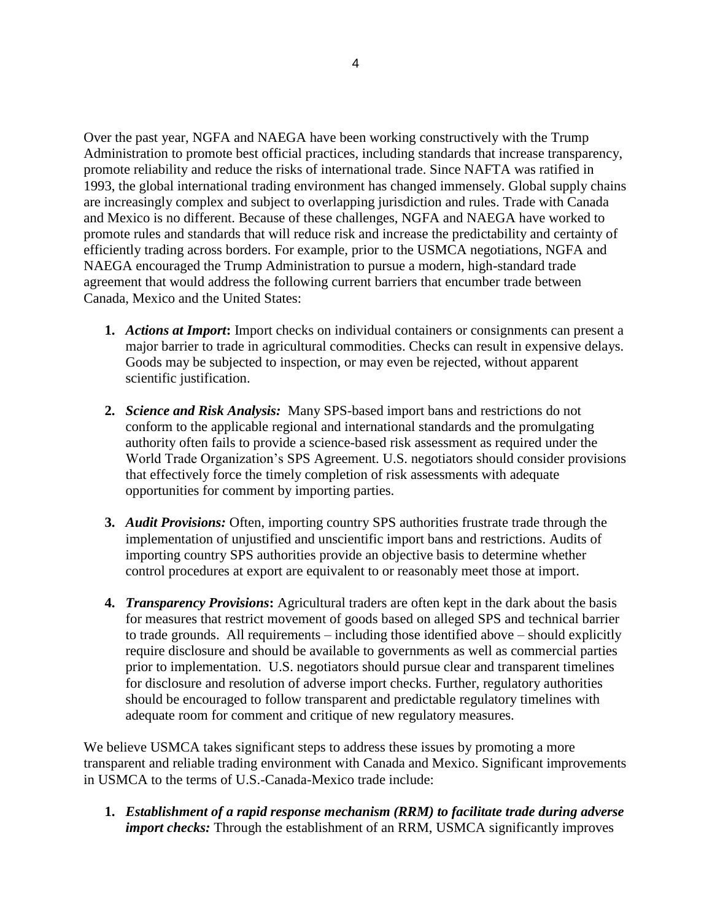Over the past year, NGFA and NAEGA have been working constructively with the Trump Administration to promote best official practices, including standards that increase transparency, promote reliability and reduce the risks of international trade. Since NAFTA was ratified in 1993, the global international trading environment has changed immensely. Global supply chains are increasingly complex and subject to overlapping jurisdiction and rules. Trade with Canada and Mexico is no different. Because of these challenges, NGFA and NAEGA have worked to promote rules and standards that will reduce risk and increase the predictability and certainty of efficiently trading across borders. For example, prior to the USMCA negotiations, NGFA and NAEGA encouraged the Trump Administration to pursue a modern, high-standard trade agreement that would address the following current barriers that encumber trade between Canada, Mexico and the United States:

- **1.** *Actions at Import***:** Import checks on individual containers or consignments can present a major barrier to trade in agricultural commodities. Checks can result in expensive delays. Goods may be subjected to inspection, or may even be rejected, without apparent scientific justification.
- **2.** *Science and Risk Analysis:* Many SPS-based import bans and restrictions do not conform to the applicable regional and international standards and the promulgating authority often fails to provide a science-based risk assessment as required under the World Trade Organization's SPS Agreement. U.S. negotiators should consider provisions that effectively force the timely completion of risk assessments with adequate opportunities for comment by importing parties.
- **3.** *Audit Provisions:* Often, importing country SPS authorities frustrate trade through the implementation of unjustified and unscientific import bans and restrictions. Audits of importing country SPS authorities provide an objective basis to determine whether control procedures at export are equivalent to or reasonably meet those at import.
- **4.** *Transparency Provisions***:** Agricultural traders are often kept in the dark about the basis for measures that restrict movement of goods based on alleged SPS and technical barrier to trade grounds. All requirements – including those identified above – should explicitly require disclosure and should be available to governments as well as commercial parties prior to implementation. U.S. negotiators should pursue clear and transparent timelines for disclosure and resolution of adverse import checks. Further, regulatory authorities should be encouraged to follow transparent and predictable regulatory timelines with adequate room for comment and critique of new regulatory measures.

We believe USMCA takes significant steps to address these issues by promoting a more transparent and reliable trading environment with Canada and Mexico. Significant improvements in USMCA to the terms of U.S.-Canada-Mexico trade include:

**1.** *Establishment of a rapid response mechanism (RRM) to facilitate trade during adverse import checks:* Through the establishment of an RRM, USMCA significantly improves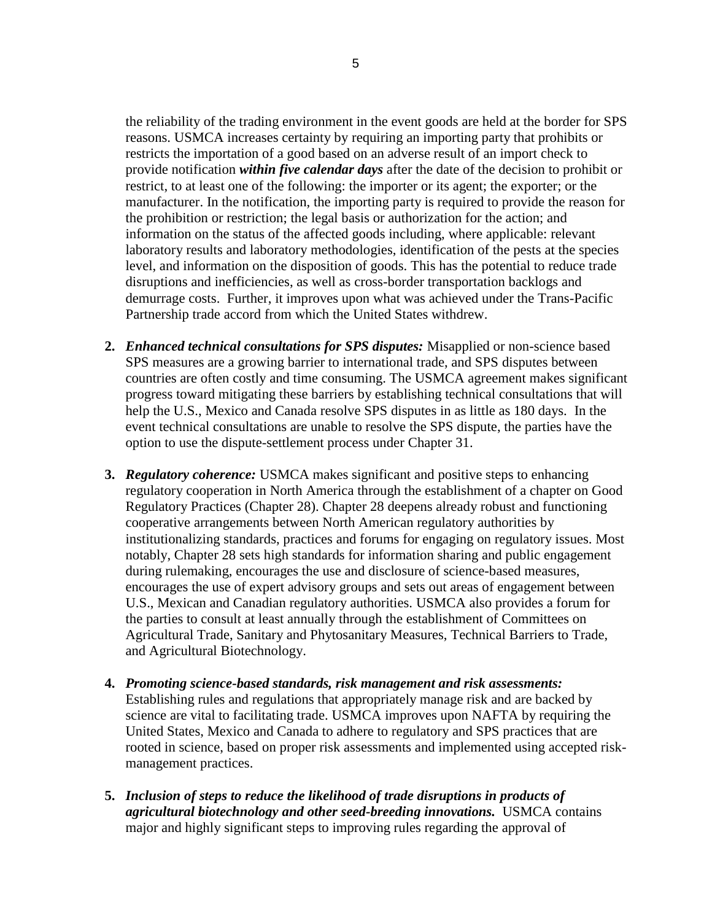the reliability of the trading environment in the event goods are held at the border for SPS reasons. USMCA increases certainty by requiring an importing party that prohibits or restricts the importation of a good based on an adverse result of an import check to provide notification *within five calendar days* after the date of the decision to prohibit or restrict, to at least one of the following: the importer or its agent; the exporter; or the manufacturer. In the notification, the importing party is required to provide the reason for the prohibition or restriction; the legal basis or authorization for the action; and information on the status of the affected goods including, where applicable: relevant laboratory results and laboratory methodologies, identification of the pests at the species level, and information on the disposition of goods. This has the potential to reduce trade disruptions and inefficiencies, as well as cross-border transportation backlogs and demurrage costs. Further, it improves upon what was achieved under the Trans-Pacific Partnership trade accord from which the United States withdrew.

- **2.** *Enhanced technical consultations for SPS disputes:* Misapplied or non-science based SPS measures are a growing barrier to international trade, and SPS disputes between countries are often costly and time consuming. The USMCA agreement makes significant progress toward mitigating these barriers by establishing technical consultations that will help the U.S., Mexico and Canada resolve SPS disputes in as little as 180 days. In the event technical consultations are unable to resolve the SPS dispute, the parties have the option to use the dispute-settlement process under Chapter 31.
- **3.** *Regulatory coherence:* USMCA makes significant and positive steps to enhancing regulatory cooperation in North America through the establishment of a chapter on Good Regulatory Practices (Chapter 28). Chapter 28 deepens already robust and functioning cooperative arrangements between North American regulatory authorities by institutionalizing standards, practices and forums for engaging on regulatory issues. Most notably, Chapter 28 sets high standards for information sharing and public engagement during rulemaking, encourages the use and disclosure of science-based measures, encourages the use of expert advisory groups and sets out areas of engagement between U.S., Mexican and Canadian regulatory authorities. USMCA also provides a forum for the parties to consult at least annually through the establishment of Committees on Agricultural Trade, Sanitary and Phytosanitary Measures, Technical Barriers to Trade, and Agricultural Biotechnology.
- **4.** *Promoting science-based standards, risk management and risk assessments:*  Establishing rules and regulations that appropriately manage risk and are backed by science are vital to facilitating trade. USMCA improves upon NAFTA by requiring the United States, Mexico and Canada to adhere to regulatory and SPS practices that are rooted in science, based on proper risk assessments and implemented using accepted riskmanagement practices.
- **5.** *Inclusion of steps to reduce the likelihood of trade disruptions in products of agricultural biotechnology and other seed-breeding innovations.* USMCA contains major and highly significant steps to improving rules regarding the approval of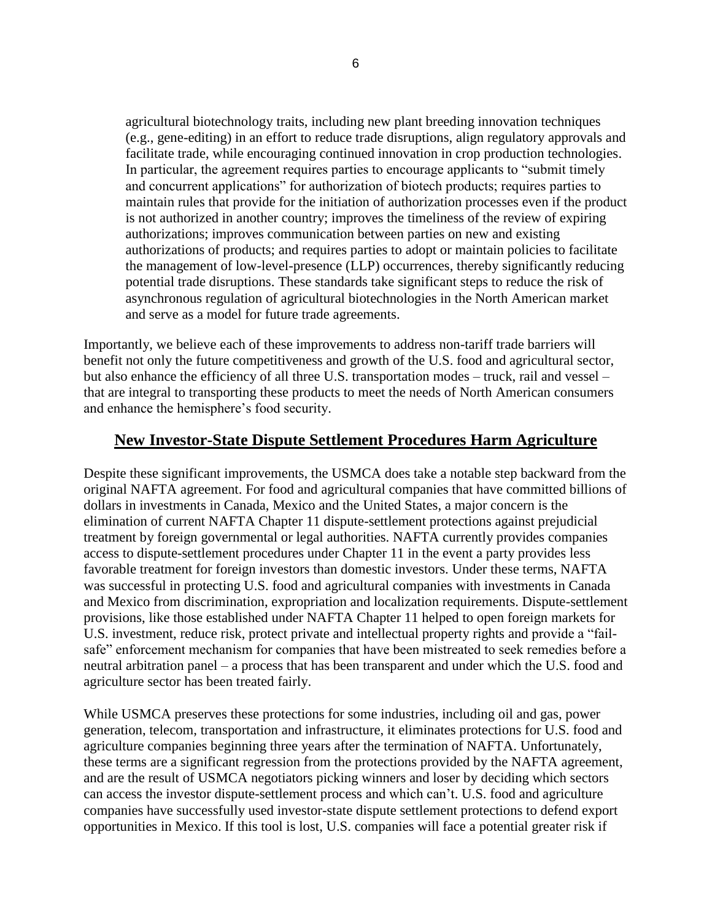agricultural biotechnology traits, including new plant breeding innovation techniques (e.g., gene-editing) in an effort to reduce trade disruptions, align regulatory approvals and facilitate trade, while encouraging continued innovation in crop production technologies. In particular, the agreement requires parties to encourage applicants to "submit timely and concurrent applications" for authorization of biotech products; requires parties to maintain rules that provide for the initiation of authorization processes even if the product is not authorized in another country; improves the timeliness of the review of expiring authorizations; improves communication between parties on new and existing authorizations of products; and requires parties to adopt or maintain policies to facilitate the management of low-level-presence (LLP) occurrences, thereby significantly reducing potential trade disruptions. These standards take significant steps to reduce the risk of asynchronous regulation of agricultural biotechnologies in the North American market and serve as a model for future trade agreements.

Importantly, we believe each of these improvements to address non-tariff trade barriers will benefit not only the future competitiveness and growth of the U.S. food and agricultural sector, but also enhance the efficiency of all three U.S. transportation modes – truck, rail and vessel – that are integral to transporting these products to meet the needs of North American consumers and enhance the hemisphere's food security.

## **New Investor-State Dispute Settlement Procedures Harm Agriculture**

Despite these significant improvements, the USMCA does take a notable step backward from the original NAFTA agreement. For food and agricultural companies that have committed billions of dollars in investments in Canada, Mexico and the United States, a major concern is the elimination of current NAFTA Chapter 11 dispute-settlement protections against prejudicial treatment by foreign governmental or legal authorities. NAFTA currently provides companies access to dispute-settlement procedures under Chapter 11 in the event a party provides less favorable treatment for foreign investors than domestic investors. Under these terms, NAFTA was successful in protecting U.S. food and agricultural companies with investments in Canada and Mexico from discrimination, expropriation and localization requirements. Dispute-settlement provisions, like those established under NAFTA Chapter 11 helped to open foreign markets for U.S. investment, reduce risk, protect private and intellectual property rights and provide a "failsafe" enforcement mechanism for companies that have been mistreated to seek remedies before a neutral arbitration panel – a process that has been transparent and under which the U.S. food and agriculture sector has been treated fairly.

While USMCA preserves these protections for some industries, including oil and gas, power generation, telecom, transportation and infrastructure, it eliminates protections for U.S. food and agriculture companies beginning three years after the termination of NAFTA. Unfortunately, these terms are a significant regression from the protections provided by the NAFTA agreement, and are the result of USMCA negotiators picking winners and loser by deciding which sectors can access the investor dispute-settlement process and which can't. U.S. food and agriculture companies have successfully used investor-state dispute settlement protections to defend export opportunities in Mexico. If this tool is lost, U.S. companies will face a potential greater risk if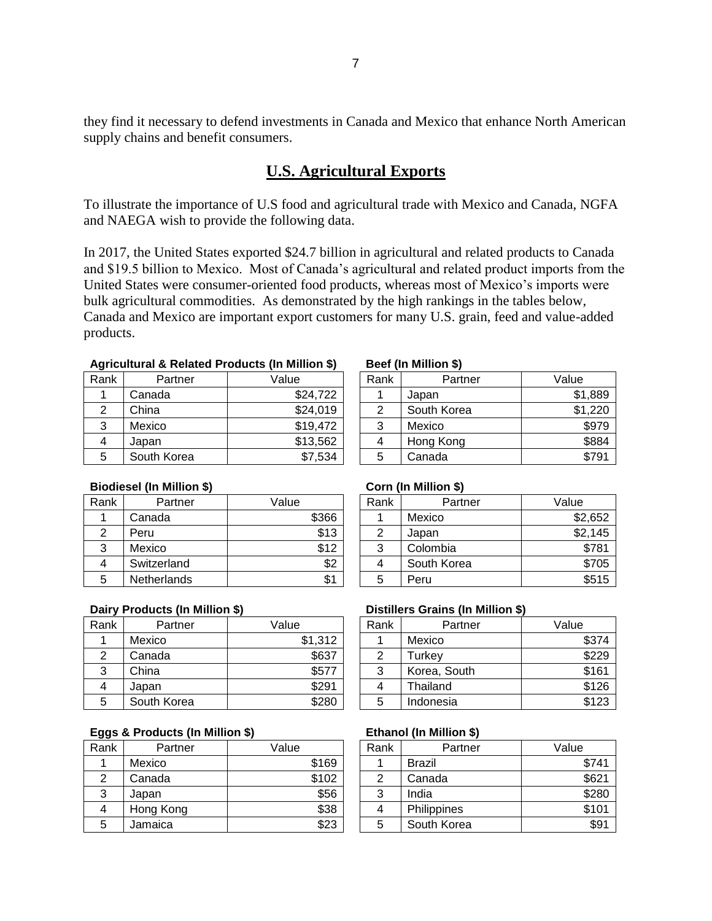they find it necessary to defend investments in Canada and Mexico that enhance North American supply chains and benefit consumers.

## **U.S. Agricultural Exports**

To illustrate the importance of U.S food and agricultural trade with Mexico and Canada, NGFA and NAEGA wish to provide the following data.

In 2017, the United States exported \$24.7 billion in agricultural and related products to Canada and \$19.5 billion to Mexico. Most of Canada's agricultural and related product imports from the United States were consumer-oriented food products, whereas most of Mexico's imports were bulk agricultural commodities. As demonstrated by the high rankings in the tables below, Canada and Mexico are important export customers for many U.S. grain, feed and value-added products.

### **Agricultural & Related Products (In Million \$) Beef (In Million \$)**

| Rank           | Partner     | Value    | Rank | Partner     | Value             |
|----------------|-------------|----------|------|-------------|-------------------|
|                | Canada      | \$24,722 |      | Japan       | $\mathcal{L}$     |
|                | China       | \$24,019 |      | South Korea | $$^{\textdegree}$ |
| 3              | Mexico      | \$19,472 | 3    | Mexico      |                   |
| $\overline{4}$ | Japan       | \$13,562 | 4    | Hong Kong   |                   |
| 5              | South Korea | \$7,534  | 5    | Canada      |                   |

|     |             | . .      |      |             |         |
|-----|-------------|----------|------|-------------|---------|
| ank | Partner     | Value    | Rank | Partner     | Value   |
| 1   | Canada      | \$24,722 |      | Japan       | \$1,889 |
| 2   | China       | \$24,019 |      | South Korea | \$1,220 |
| 3   | Mexico      | \$19,472 | 3    | Mexico      | \$979   |
| 4   | Japan       | \$13,562 | 4    | Hong Kong   | \$884   |
| 5   | South Korea | \$7,534  | 5    | Canada      | \$791   |

### **Biodiesel (In Million \$) Corn (In Million \$)**

| Rank | Partner            | Value | Rank | Partner     | Value |
|------|--------------------|-------|------|-------------|-------|
|      | Canada             | \$366 |      | Mexico      | \$2   |
|      | Peru               | \$13  |      | Japan       | \$2   |
| 3    | Mexico             | \$12  | 3    | Colombia    |       |
| 4    | Switzerland        | \$2   | 4    | South Korea |       |
| 5    | <b>Netherlands</b> | \$1   | b    | Peru        |       |

|     | . .                |       |      | . .         |         |
|-----|--------------------|-------|------|-------------|---------|
| ank | Partner            | Value | Rank | Partner     | Value   |
| 1   | Canada             | \$366 |      | Mexico      | \$2,652 |
| 2   | Peru               | \$13  | 2    | Japan       | \$2,145 |
| 3   | Mexico             | \$12  | 3    | Colombia    | \$781   |
| 4   | Switzerland        | \$2   |      | South Korea | \$705   |
| 5   | <b>Netherlands</b> | \$1   | 5    | Peru        | \$515   |

| Rank | Partner     | Value   | Rank | Partner      | Value |
|------|-------------|---------|------|--------------|-------|
|      | Mexico      | \$1,312 |      | Mexico       |       |
|      | Canada      | \$637   | 2    | Turkey       |       |
| 3    | China       | \$577   | 3    | Korea, South |       |
| 4    | Japan       | \$291   | 4    | Thailand     |       |
| 5    | South Korea | \$280   | 5    | Indonesia    |       |

### **Eggs & Products (In Million \$) Ethanol (In Million \$)**

| Rank   | Partner   | Value | Rank | Partner       | Value |
|--------|-----------|-------|------|---------------|-------|
|        | Mexico    | \$169 |      | <b>Brazil</b> |       |
|        | Canada    | \$102 |      | Canada        |       |
| っ<br>د | Japan     | \$56  | 3    | India         |       |
| 4      | Hong Kong | \$38  | 4    | Philippines   |       |
| 5      | Jamaica   | \$23  | 5    | South Korea   |       |

### **Dairy Products (In Million \$) Distillers Grains (In Million \$)**

| ank | Partner     | Value   | Rank   | Partner      | Value |
|-----|-------------|---------|--------|--------------|-------|
| 1   | Mexico      | \$1,312 |        | Mexico       | \$374 |
| 2   | Canada      | \$637   | ົ      | Turkev       | \$229 |
| 3   | China       | \$577   | ⌒<br>د | Korea, South | \$161 |
| 4   | Japan       | \$291   |        | Thailand     | \$126 |
| 5   | South Korea | \$280   | 5      | Indonesia    | \$123 |
|     |             |         |        |              |       |

| ank | Partner   | Value | Rank | Partner       | Value |
|-----|-----------|-------|------|---------------|-------|
| 1   | Mexico    | \$169 |      | <b>Brazil</b> | \$741 |
| 2   | Canada    | \$102 | ⌒    | Canada        | \$621 |
| 3   | Japan     | \$56  | 3    | India         | \$280 |
| 4   | Hong Kong | \$38  |      | Philippines   | \$101 |
| 5   | Jamaica   | \$23  | 5    | South Korea   | \$91  |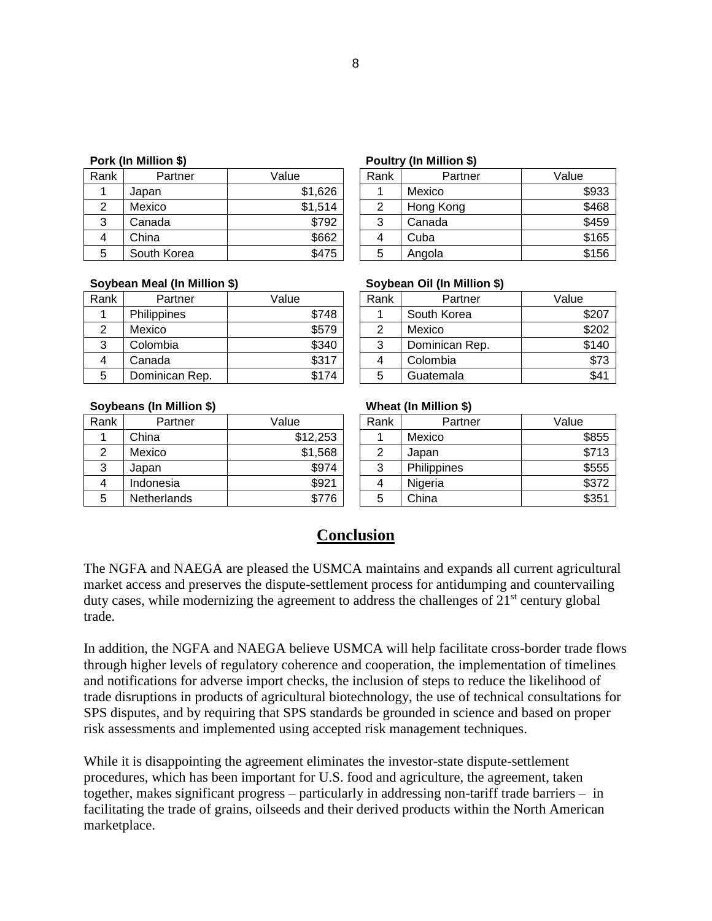| Rank           | Partner     | Value   | Rank | Partner   | Value |
|----------------|-------------|---------|------|-----------|-------|
|                | Japan       | \$1,626 |      | Mexico    |       |
| 2              | Mexico      | \$1,514 | 2    | Hong Kong |       |
| っ<br>د         | Canada      | \$792   | 3    | Canada    |       |
| $\overline{4}$ | China       | \$662   | 4    | Cuba      |       |
| 5              | South Korea | \$475   | 5    | Angola    |       |

### **Pork (In Million \$) Poultry (In Million \$)**

| ank | Partner     | Value   | Rank | Partner   | Value |
|-----|-------------|---------|------|-----------|-------|
| 1   | Japan       | \$1,626 |      | Mexico    | \$933 |
| 2   | Mexico      | \$1,514 |      | Hong Kong | \$468 |
| 3   | Canada      | \$792   | 3    | Canada    | \$459 |
| 4   | China       | \$662   |      | Cuba      | \$165 |
| 5   | South Korea | \$475   | 5    | Angola    | \$156 |

### **Soybean Meal (In Million \$) Soybean Oil (In Million \$)**

| Rank | Partner            | Value | Rank | Partner        | Value |
|------|--------------------|-------|------|----------------|-------|
|      | <b>Philippines</b> | \$748 |      | South Korea    |       |
|      | Mexico             | \$579 |      | Mexico         |       |
| చ    | Colombia           | \$340 | 3    | Dominican Rep. |       |
| 4    | Canada             | \$317 |      | Colombia       |       |
| 5    | Dominican Rep.     | \$174 | 5    | Guatemala      |       |

| ank | Partner            | Value | Rank    | Partner        | Value |
|-----|--------------------|-------|---------|----------------|-------|
| 1   | <b>Philippines</b> | \$748 |         | South Korea    | \$207 |
| 2   | Mexico             | \$579 |         | Mexico         | \$202 |
| 3   | Colombia           | \$340 | ົ<br>Ő. | Dominican Rep. | \$140 |
| 4   | Canada             | \$317 |         | Colombia       | \$73  |
| 5   | Dominican Rep.     | \$174 | b       | Guatemala      | \$41  |

### **Soybeans (In Million \$) Wheat (In Million \$)**

| Rank | Partner     | Value    | Rank | Partner     | Value |
|------|-------------|----------|------|-------------|-------|
|      | China       | \$12,253 |      | Mexico      |       |
| ◠    | Mexico      | \$1,568  | ⌒    | Japan       |       |
| 3    | Japan       | \$974    | 3    | Philippines |       |
| 4    | Indonesia   | \$921    | 4    | Nigeria     |       |
| 5    | Netherlands | \$776    | 5    | China       |       |

| ank | Partner            | Value    | Rank | Partner     | Value |
|-----|--------------------|----------|------|-------------|-------|
| 1.  | China              | \$12,253 |      | Mexico      | \$855 |
| 2   | Mexico             | \$1,568  | ◠    | Japan       | \$713 |
| 3   | Japan              | \$974    | 3    | Philippines | \$555 |
| 4   | Indonesia          | \$921    | 4    | Nigeria     | \$372 |
| 5   | <b>Netherlands</b> | \$776    | 5    | China       | \$351 |

## **Conclusion**

The NGFA and NAEGA are pleased the USMCA maintains and expands all current agricultural market access and preserves the dispute-settlement process for antidumping and countervailing duty cases, while modernizing the agreement to address the challenges of  $21<sup>st</sup>$  century global trade.

In addition, the NGFA and NAEGA believe USMCA will help facilitate cross-border trade flows through higher levels of regulatory coherence and cooperation, the implementation of timelines and notifications for adverse import checks, the inclusion of steps to reduce the likelihood of trade disruptions in products of agricultural biotechnology, the use of technical consultations for SPS disputes, and by requiring that SPS standards be grounded in science and based on proper risk assessments and implemented using accepted risk management techniques.

While it is disappointing the agreement eliminates the investor-state dispute-settlement procedures, which has been important for U.S. food and agriculture, the agreement, taken together, makes significant progress – particularly in addressing non-tariff trade barriers – in facilitating the trade of grains, oilseeds and their derived products within the North American marketplace.